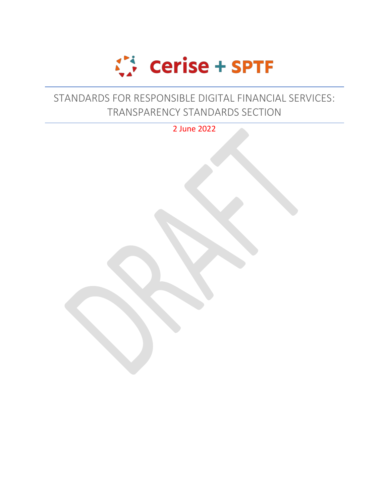

## STANDARDS FOR RESPONSIBLE DIGITAL FINANCIAL SERVICES: TRANSPARENCY STANDARDS SECTION

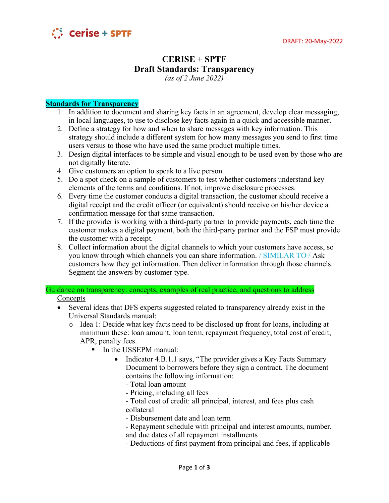

## **CERISE + SPTF Draft Standards: Transparency**

*(as of 2 June 2022)*

## **Standards for Transparency**

- 1. In addition to document and sharing key facts in an agreement, develop clear messaging, in local languages, to use to disclose key facts again in a quick and accessible manner.
- 2. Define a strategy for how and when to share messages with key information. This strategy should include a different system for how many messages you send to first time users versus to those who have used the same product multiple times.
- 3. Design digital interfaces to be simple and visual enough to be used even by those who are not digitally literate.
- 4. Give customers an option to speak to a live person.
- 5. Do a spot check on a sample of customers to test whether customers understand key elements of the terms and conditions. If not, improve disclosure processes.
- 6. Every time the customer conducts a digital transaction, the customer should receive a digital receipt and the credit officer (or equivalent) should receive on his/her device a confirmation message for that same transaction.
- 7. If the provider is working with a third-party partner to provide payments, each time the customer makes a digital payment, both the third-party partner and the FSP must provide the customer with a receipt.
- 8. Collect information about the digital channels to which your customers have access, so you know through which channels you can share information. / SIMILAR TO / Ask customers how they get information. Then deliver information through those channels. Segment the answers by customer type.

Guidance on transparency: concepts, examples of real practice, and questions to address Concepts

- Several ideas that DFS experts suggested related to transparency already exist in the Universal Standards manual:
	- o Idea 1: Decide what key facts need to be disclosed up front for loans, including at minimum these: loan amount, loan term, repayment frequency, total cost of credit, APR, penalty fees.
		- **In the USSEPM manual:** 
			- Indicator 4.B.1.1 says, "The provider gives a Key Facts Summary Document to borrowers before they sign a contract. The document contains the following information:
				- Total loan amount
				- Pricing, including all fees
				- Total cost of credit: all principal, interest, and fees plus cash collateral
				- Disbursement date and loan term
				- Repayment schedule with principal and interest amounts, number, and due dates of all repayment installments
				- Deductions of first payment from principal and fees, if applicable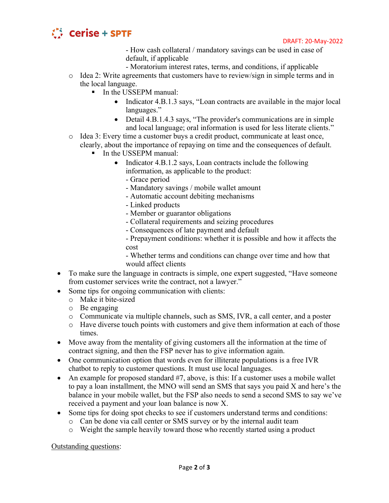

- How cash collateral / mandatory savings can be used in case of default, if applicable

- Moratorium interest rates, terms, and conditions, if applicable
- o Idea 2: Write agreements that customers have to review/sign in simple terms and in the local language.
	- In the USSEPM manual:
		- Indicator 4.B.1.3 says, "Loan contracts are available in the major local languages."
		- Detail 4.B.1.4.3 says, "The provider's communications are in simple and local language; oral information is used for less literate clients."
- o Idea 3: Every time a customer buys a credit product, communicate at least once, clearly, about the importance of repaying on time and the consequences of default.
	- **In the USSEPM manual:** 
		- Indicator 4.B.1.2 says, Loan contracts include the following information, as applicable to the product:
			- Grace period
			- Mandatory savings / mobile wallet amount
			- Automatic account debiting mechanisms
			- Linked products
			- Member or guarantor obligations
			- Collateral requirements and seizing procedures
			- Consequences of late payment and default
			- Prepayment conditions: whether it is possible and how it affects the cost

- Whether terms and conditions can change over time and how that would affect clients

- To make sure the language in contracts is simple, one expert suggested, "Have someone" from customer services write the contract, not a lawyer."
- Some tips for ongoing communication with clients:
	- o Make it bite-sized
	- o Be engaging
	- o Communicate via multiple channels, such as SMS, IVR, a call center, and a poster
	- o Have diverse touch points with customers and give them information at each of those times.
- Move away from the mentality of giving customers all the information at the time of contract signing, and then the FSP never has to give information again.
- One communication option that words even for illiterate populations is a free IVR chatbot to reply to customer questions. It must use local languages.
- An example for proposed standard #7, above, is this: If a customer uses a mobile wallet to pay a loan installment, the MNO will send an SMS that says you paid X and here's the balance in your mobile wallet, but the FSP also needs to send a second SMS to say we've received a payment and your loan balance is now X.
- Some tips for doing spot checks to see if customers understand terms and conditions:
	- o Can be done via call center or SMS survey or by the internal audit team
	- o Weight the sample heavily toward those who recently started using a product

Outstanding questions: